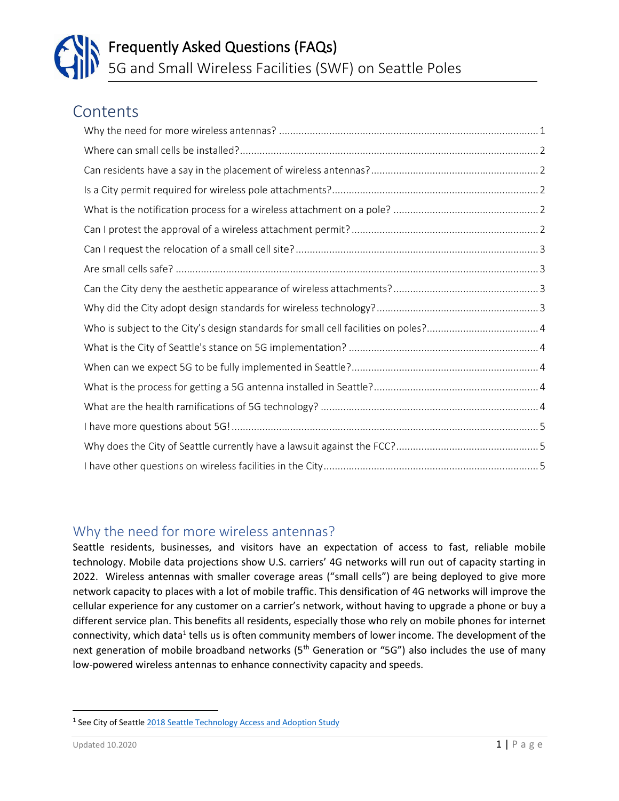### **Contents**

#### <span id="page-0-0"></span>Why the need for more wireless antennas?

Seattle residents, businesses, and visitors have an expectation of access to fast, reliable mobile technology. Mobile data projections show U.S. carriers' 4G networks will run out of capacity starting in 2022. Wireless antennas with smaller coverage areas ("small cells") are being deployed to give more network capacity to places with a lot of mobile traffic. This densification of 4G networks will improve the cellular experience for any customer on a carrier's network, without having to upgrade a phone or buy a different service plan. This benefits all residents, especially those who rely on mobile phones for internet connectivity, which data<sup>1</sup> tells us is often community members of lower income. The development of the next generation of mobile broadband networks  $(5<sup>th</sup>$  Generation or "5G") also includes the use of many low-powered wireless antennas to enhance connectivity capacity and speeds.

<sup>&</sup>lt;sup>1</sup> See City of Seattle [2018 Seattle Technology Access and Adoption Study](http://www.seattle.gov/Documents/Departments/SeattleIT/DigitalEngagement/TechAccess/City%20of%20Seattle%20IT%20Summary_Final.pdf)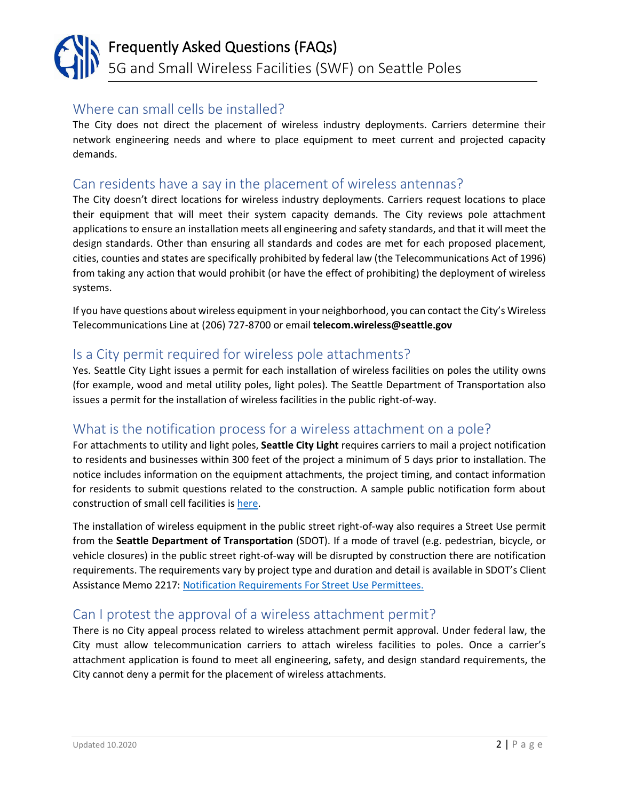#### <span id="page-1-0"></span>Where can small cells be installed?

The City does not direct the placement of wireless industry deployments. Carriers determine their network engineering needs and where to place equipment to meet current and projected capacity demands.

#### <span id="page-1-1"></span>Can residents have a say in the placement of wireless antennas?

The City doesn't direct locations for wireless industry deployments. Carriers request locations to place their equipment that will meet their system capacity demands. The City reviews pole attachment applications to ensure an installation meets all engineering and safety standards, and that it will meet the design standards. Other than ensuring all standards and codes are met for each proposed placement, cities, counties and states are specifically prohibited by federal law (the Telecommunications Act of 1996) from taking any action that would prohibit (or have the effect of prohibiting) the deployment of wireless systems.

If you have questions about wireless equipment in your neighborhood, you can contact the City's Wireless Telecommunications Line at (206) 727-8700 or email **telecom.wireless@seattle.gov**

#### <span id="page-1-2"></span>Is a City permit required for wireless pole attachments?

Yes. Seattle City Light issues a permit for each installation of wireless facilities on poles the utility owns (for example, wood and metal utility poles, light poles). The Seattle Department of Transportation also issues a permit for the installation of wireless facilities in the public right-of-way.

#### <span id="page-1-3"></span>What is the notification process for a wireless attachment on a pole?

For attachments to utility and light poles, **Seattle City Light** requires carriers to mail a project notification to residents and businesses within 300 feet of the project a minimum of 5 days prior to installation. The notice includes information on the equipment attachments, the project timing, and contact information for residents to submit questions related to the construction. A sample public notification form about construction of small cell facilities i[s here.](https://www.seattle.gov/tech/initiatives/wireless-and-small-cell/residents)

The installation of wireless equipment in the public street right-of-way also requires a Street Use permit from the **Seattle Department of Transportation** (SDOT). If a mode of travel (e.g. pedestrian, bicycle, or vehicle closures) in the public street right-of-way will be disrupted by construction there are notification requirements. The requirements vary by project type and duration and detail is available in SDOT's Client Assistance Memo 2217: [Notification Requirements For Street Use Permittees.](http://www.seattle.gov/Documents/Departments/SDOT/CAMs/CAM2117.pdf) 

#### <span id="page-1-4"></span>Can I protest the approval of a wireless attachment permit?

There is no City appeal process related to wireless attachment permit approval. Under federal law, the City must allow telecommunication carriers to attach wireless facilities to poles. Once a carrier's attachment application is found to meet all engineering, safety, and design standard requirements, the City cannot deny a permit for the placement of wireless attachments.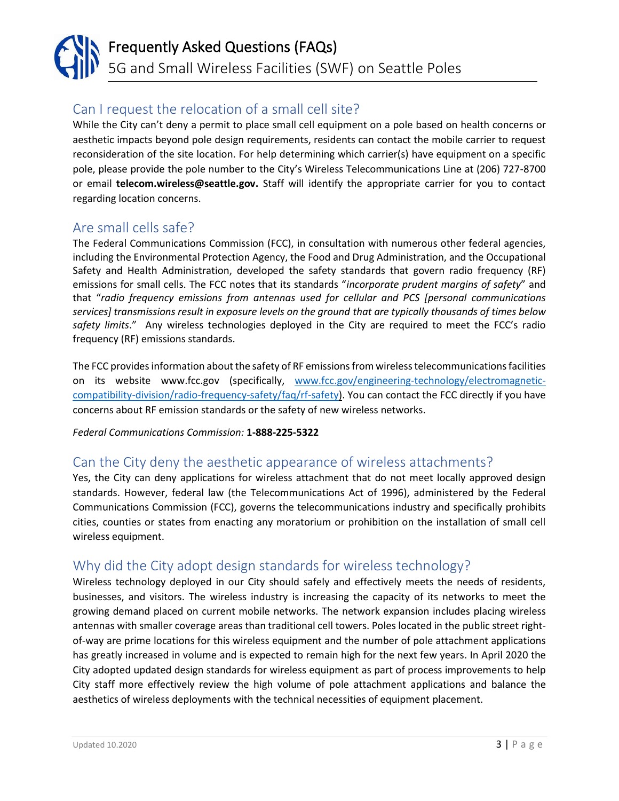### <span id="page-2-0"></span>Can I request the relocation of a small cell site?

While the City can't deny a permit to place small cell equipment on a pole based on health concerns or aesthetic impacts beyond pole design requirements, residents can contact the mobile carrier to request reconsideration of the site location. For help determining which carrier(s) have equipment on a specific pole, please provide the pole number to the City's Wireless Telecommunications Line at (206) 727-8700 or email **telecom.wireless@seattle.gov.** Staff will identify the appropriate carrier for you to contact regarding location concerns.

#### <span id="page-2-1"></span>Are small cells safe?

The Federal Communications Commission (FCC), in consultation with numerous other federal agencies, including the Environmental Protection Agency, the Food and Drug Administration, and the Occupational Safety and Health Administration, developed the safety standards that govern radio frequency (RF) emissions for small cells. The FCC notes that its standards "*incorporate prudent margins of safety*" and that "*radio frequency emissions from antennas used for cellular and PCS [personal communications services] transmissions result in exposure levels on the ground that are typically thousands of times below safety limits*." Any wireless technologies deployed in the City are required to meet the FCC's radio frequency (RF) emissions standards.

The FCC provides information about the safety of RF emissions from wireless telecommunications facilities on its website www.fcc.gov (specifically, [www.fcc.gov/engineering-technology/electromagnetic](https://www.fcc.gov/engineering-technology/electromagnetic-compatibility-division/radio-frequency-safety/faq/rf-safety)[compatibility-division/radio-frequency-safety/faq/rf-safety\)](https://www.fcc.gov/engineering-technology/electromagnetic-compatibility-division/radio-frequency-safety/faq/rf-safety). You can contact the FCC directly if you have concerns about RF emission standards or the safety of new wireless networks.

*Federal Communications Commission:* **1-888-225-5322** 

#### <span id="page-2-2"></span>Can the City deny the aesthetic appearance of wireless attachments?

Yes, the City can deny applications for wireless attachment that do not meet locally approved design standards. However, federal law (the Telecommunications Act of 1996), administered by the Federal Communications Commission (FCC), governs the telecommunications industry and specifically prohibits cities, counties or states from enacting any moratorium or prohibition on the installation of small cell wireless equipment.

#### <span id="page-2-3"></span>Why did the City adopt design standards for wireless technology?

Wireless technology deployed in our City should safely and effectively meets the needs of residents, businesses, and visitors. The wireless industry is increasing the capacity of its networks to meet the growing demand placed on current mobile networks. The network expansion includes placing wireless antennas with smaller coverage areas than traditional cell towers. Poles located in the public street rightof-way are prime locations for this wireless equipment and the number of pole attachment applications has greatly increased in volume and is expected to remain high for the next few years. In April 2020 the City adopted updated design standards for wireless equipment as part of process improvements to help City staff more effectively review the high volume of pole attachment applications and balance the aesthetics of wireless deployments with the technical necessities of equipment placement.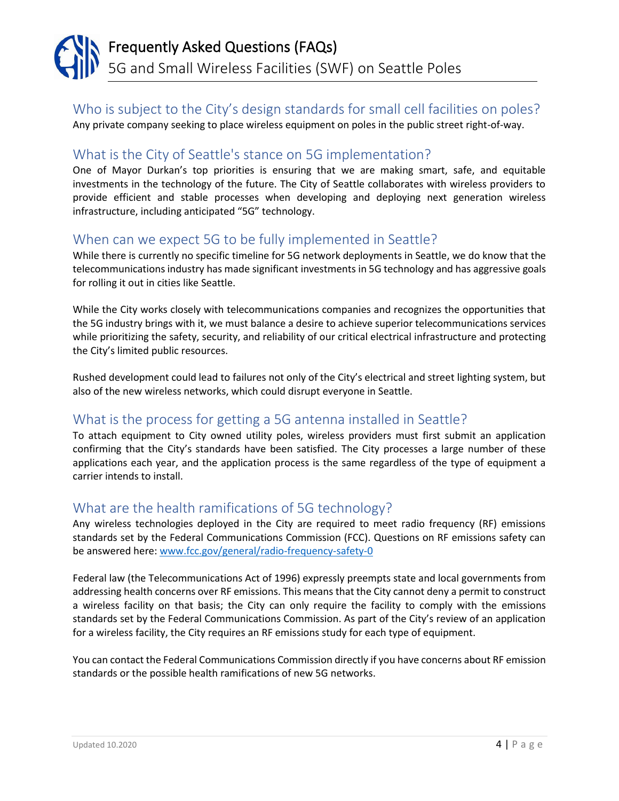### <span id="page-3-0"></span>Who is subject to the City's design standards for small cell facilities on poles?

Any private company seeking to place wireless equipment on poles in the public street right-of-way.

### <span id="page-3-1"></span>What is the City of Seattle's stance on 5G implementation?

One of Mayor Durkan's top priorities is ensuring that we are making smart, safe, and equitable investments in the technology of the future. The City of Seattle collaborates with wireless providers to provide efficient and stable processes when developing and deploying next generation wireless infrastructure, including anticipated "5G" technology.

#### <span id="page-3-2"></span>When can we expect 5G to be fully implemented in Seattle?

While there is currently no specific timeline for 5G network deployments in Seattle, we do know that the telecommunications industry has made significant investments in 5G technology and has aggressive goals for rolling it out in cities like Seattle.

While the City works closely with telecommunications companies and recognizes the opportunities that the 5G industry brings with it, we must balance a desire to achieve superior telecommunications services while prioritizing the safety, security, and reliability of our critical electrical infrastructure and protecting the City's limited public resources.

Rushed development could lead to failures not only of the City's electrical and street lighting system, but also of the new wireless networks, which could disrupt everyone in Seattle.

#### <span id="page-3-3"></span>What is the process for getting a 5G antenna installed in Seattle?

To attach equipment to City owned utility poles, wireless providers must first submit an application confirming that the City's standards have been satisfied. The City processes a large number of these applications each year, and the application process is the same regardless of the type of equipment a carrier intends to install.

#### <span id="page-3-4"></span>What are the health ramifications of 5G technology?

Any wireless technologies deployed in the City are required to meet radio frequency (RF) emissions standards set by the Federal Communications Commission (FCC). Questions on RF emissions safety can be answered here: [www.fcc.gov/general/radio-frequency-safety-0](https://www.fcc.gov/general/radio-frequency-safety-0)

Federal law (the Telecommunications Act of 1996) expressly preempts state and local governments from addressing health concerns over RF emissions. This means that the City cannot deny a permit to construct a wireless facility on that basis; the City can only require the facility to comply with the emissions standards set by the Federal Communications Commission. As part of the City's review of an application for a wireless facility, the City requires an RF emissions study for each type of equipment.

You can contact the Federal Communications Commission directly if you have concerns about RF emission standards or the possible health ramifications of new 5G networks.